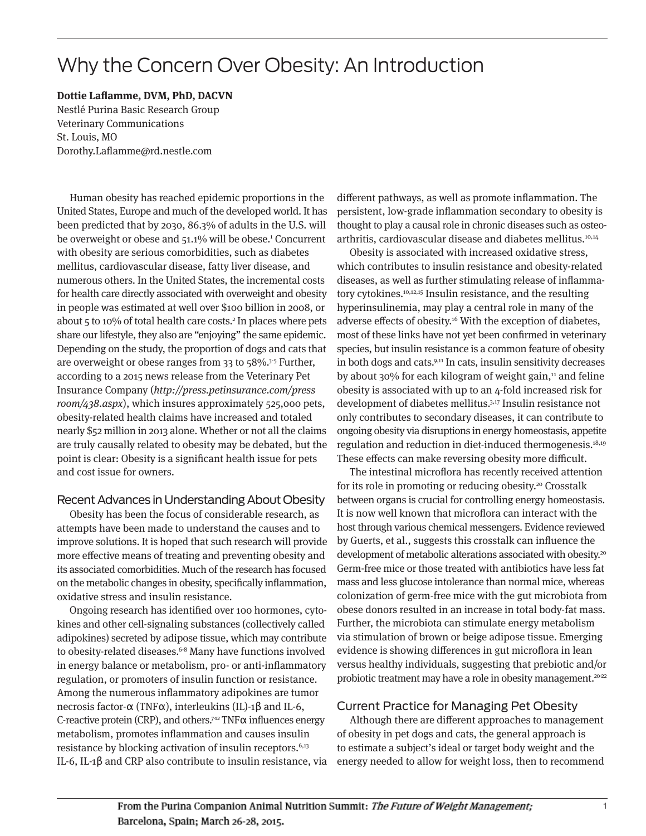# Why the Concern Over Obesity: An Introduction

**Dottie Laflamme, DVM, PhD, DACVN** Nestlé Purina Basic Research Group Veterinary Communications St. Louis, MO Dorothy.Laflamme@rd.nestle.com

Human obesity has reached epidemic proportions in the United States, Europe and much of the developed world. It has been predicted that by 2030, 86.3% of adults in the U.S. will be overweight or obese and 51.1% will be obese.<sup>1</sup> Concurrent with obesity are serious comorbidities, such as diabetes mellitus, cardiovascular disease, fatty liver disease, and numerous others. In the United States, the incremental costs for health care directly associated with overweight and obesity in people was estimated at well over \$100 billion in 2008, or about 5 to 10% of total health care costs.<sup>2</sup> In places where pets share our lifestyle, they also are "enjoying" the same epidemic. Depending on the study, the proportion of dogs and cats that are overweight or obese ranges from 33 to 58%.3-5 Further, according to a 2015 news release from the Veterinary Pet Insurance Company (http://press.petinsurance.com/press room/438.aspx), which insures approximately 525,000 pets, obesity-related health claims have increased and totaled nearly \$52 million in 2013 alone. Whether or not all the claims are truly causally related to obesity may be debated, but the point is clear: Obesity is a significant health issue for pets and cost issue for owners.

### Recent Advances in Understanding About Obesity

Obesity has been the focus of considerable research, as attempts have been made to understand the causes and to improve solutions. It is hoped that such research will provide more effective means of treating and preventing obesity and its associated comorbidities. Much of the research has focused on the metabolic changes in obesity, specifically inflammation, oxidative stress and insulin resistance.

Ongoing research has identified over 100 hormones, cytokines and other cell-signaling substances (collectively called adipokines) secreted by adipose tissue, which may contribute to obesity-related diseases.<sup>6-8</sup> Many have functions involved in energy balance or metabolism, pro- or anti-inflammatory regulation, or promoters of insulin function or resistance. Among the numerous inflammatory adipokines are tumor necrosis factor-α (TNFα), interleukins (IL)-1β and IL-6, C-reactive protein (CRP), and others.<sup>712</sup> TNF $\alpha$  influences energy metabolism, promotes inflammation and causes insulin resistance by blocking activation of insulin receptors.<sup>6,13</sup> IL-6, IL-1β and CRP also contribute to insulin resistance, via different pathways, as well as promote inflammation. The persistent, low-grade inflammation secondary to obesity is thought to play a causal role in chronic diseases such as osteo arthritis, cardiovascular disease and diabetes mellitus.<sup>10,14</sup>

Obesity is associated with increased oxidative stress, which contributes to insulin resistance and obesity-related diseases, as well as further stimulating release of inflammatory cytokines.10,12,15 Insulin resistance, and the resulting hyperinsulinemia, may play a central role in many of the adverse effects of obesity.<sup>16</sup> With the exception of diabetes, most of these links have not yet been confirmed in veterinary species, but insulin resistance is a common feature of obesity in both dogs and cats.<sup>9,11</sup> In cats, insulin sensitivity decreases by about 30% for each kilogram of weight gain,<sup>11</sup> and feline obesity is associated with up to an 4-fold increased risk for development of diabetes mellitus.3,17 Insulin resistance not only contributes to secondary diseases, it can contribute to ongoing obesity via disruptions in energy homeostasis, appetite regulation and reduction in diet-induced thermogenesis.18,19 These effects can make reversing obesity more difficult.

The intestinal microflora has recently received attention for its role in promoting or reducing obesity.20 Crosstalk between organs is crucial for controlling energy homeostasis. It is now well known that microflora can interact with the host through various chemical messengers. Evidence reviewed by Guerts, et al., suggests this crosstalk can influence the development of metabolic alterations associated with obesity.<sup>20</sup> Germ-free mice or those treated with antibiotics have less fat mass and less glucose intolerance than normal mice, whereas colonization of germ-free mice with the gut microbiota from obese donors resulted in an increase in total body-fat mass. Further, the microbiota can stimulate energy metabolism via stimulation of brown or beige adipose tissue. Emerging evidence is showing differences in gut microflora in lean versus healthy individuals, suggesting that prebiotic and/or probiotic treatment may have a role in obesity management.<sup>20-22</sup>

## Current Practice for Managing Pet Obesity

Although there are different approaches to management of obesity in pet dogs and cats, the general approach is to estimate a subject's ideal or target body weight and the energy needed to allow for weight loss, then to recommend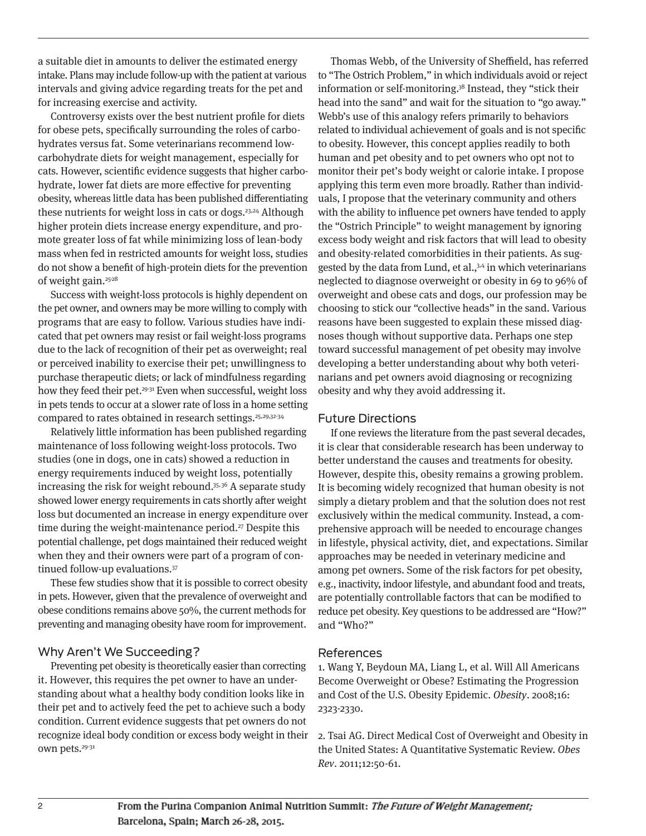a suitable diet in amounts to deliver the estimated energy intake. Plans may include follow-up with the patient at various intervals and giving advice regarding treats for the pet and for increasing exercise and activity.

Controversy exists over the best nutrient profile for diets for obese pets, specifically surrounding the roles of carbohydrates versus fat. Some veterinarians recommend lowcarbohydrate diets for weight management, especially for cats. However, scientific evidence suggests that higher carbohydrate, lower fat diets are more effective for preventing obesity, whereas little data has been published differentiating these nutrients for weight loss in cats or dogs.<sup>23,24</sup> Although higher protein diets increase energy expenditure, and promote greater loss of fat while minimizing loss of lean-body mass when fed in restricted amounts for weight loss, studies do not show a benefit of high-protein diets for the prevention of weight gain.25-28

Success with weight-loss protocols is highly dependent on the pet owner, and owners may be more willing to comply with programs that are easy to follow. Various studies have indicated that pet owners may resist or fail weight-loss programs due to the lack of recognition of their pet as overweight; real or perceived inability to exercise their pet; unwillingness to purchase therapeutic diets; or lack of mindfulness regarding how they feed their pet.<sup>29-31</sup> Even when successful, weight loss in pets tends to occur at a slower rate of loss in a home setting compared to rates obtained in research settings.<sup>25,29,32-34</sup>

Relatively little information has been published regarding maintenance of loss following weight-loss protocols. Two studies (one in dogs, one in cats) showed a reduction in energy requirements induced by weight loss, potentially increasing the risk for weight rebound.35,36 A separate study showed lower energy requirements in cats shortly after weight loss but documented an increase in energy expenditure over time during the weight-maintenance period.<sup>27</sup> Despite this potential challenge, pet dogs maintained their reduced weight when they and their owners were part of a program of continued follow-up evaluations.37

These few studies show that it is possible to correct obesity in pets. However, given that the prevalence of overweight and obese conditions remains above 50%, the current methods for preventing and managing obesity have room for improvement.

### Why Aren't We Succeeding?

Preventing pet obesity is theoretically easier than correcting it. However, this requires the pet owner to have an understanding about what a healthy body condition looks like in their pet and to actively feed the pet to achieve such a body condition. Current evidence suggests that pet owners do not recognize ideal body condition or excess body weight in their own pets.29-31

Thomas Webb, of the University of Sheffield, has referred to "The Ostrich Problem," in which individuals avoid or reject information or self-monitoring.38 Instead, they "stick their head into the sand" and wait for the situation to "go away." Webb's use of this analogy refers primarily to behaviors related to individual achievement of goals and is not specific to obesity. However, this concept applies readily to both human and pet obesity and to pet owners who opt not to monitor their pet's body weight or calorie intake. I propose applying this term even more broadly. Rather than individuals, I propose that the veterinary community and others with the ability to influence pet owners have tended to apply the "Ostrich Principle" to weight management by ignoring excess body weight and risk factors that will lead to obesity and obesity-related comorbidities in their patients. As suggested by the data from Lund, et al.,<sup>3,4</sup> in which veterinarians neglected to diagnose overweight or obesity in 69 to 96% of overweight and obese cats and dogs, our profession may be choosing to stick our "collective heads" in the sand. Various reasons have been suggested to explain these missed diagnoses though without supportive data. Perhaps one step toward successful management of pet obesity may involve developing a better understanding about why both veterinarians and pet owners avoid diagnosing or recognizing obesity and why they avoid addressing it.

#### Future Directions

If one reviews the literature from the past several decades, it is clear that considerable research has been underway to better understand the causes and treatments for obesity. However, despite this, obesity remains a growing problem. It is becoming widely recognized that human obesity is not simply a dietary problem and that the solution does not rest exclusively within the medical community. Instead, a comprehensive approach will be needed to encourage changes in lifestyle, physical activity, diet, and expectations. Similar approaches may be needed in veterinary medicine and among pet owners. Some of the risk factors for pet obesity, e.g., inactivity, indoor lifestyle, and abundant food and treats, are potentially controllable factors that can be modified to reduce pet obesity. Key questions to be addressed are "How?" and "Who?"

#### References

1. Wang Y, Beydoun MA, Liang L, et al. Will All Americans Become Overweight or Obese? Estimating the Progression and Cost of the U.S. Obesity Epidemic. Obesity. 2008;16: 2323-2330.

2. Tsai AG. Direct Medical Cost of Overweight and Obesity in the United States: A Quantitative Systematic Review. Obes Rev. 2011;12:50-61.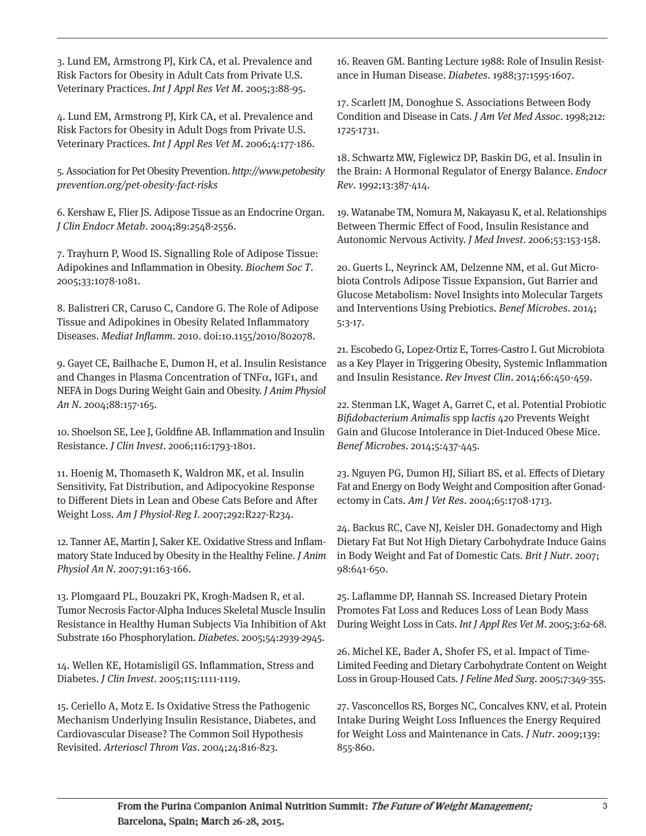3. Lund EM, Armstrong PJ, Kirk CA, et al. Prevalence and Risk Factors for Obesity in Adult Cats from Private U.S. Veterinary Practices. Int J Appl Res Vet M. 2005;3:88-95.

4. Lund EM, Armstrong PJ, Kirk CA, et al. Prevalence and Risk Factors for Obesity in Adult Dogs from Private U.S. Veterinary Practices. Int J Appl Res Vet M. 2006;4:177-186.

5. Association for Pet Obesity Prevention. http://www.petobesity prevention.org/pet-obesity-fact-risks

6. Kershaw E, Flier JS. Adipose Tissue as an Endocrine Organ. J Clin Endocr Metab. 2004;89:2548-2556.

7. Trayhurn P, Wood IS. Signalling Role of Adipose Tissue: Adipokines and Inflammation in Obesity. Biochem Soc T. 2005;33:1078-1081.

8. Balistreri CR, Caruso C, Candore G. The Role of Adipose Tissue and Adipokines in Obesity Related Inflammatory Diseases. Mediat Inflamm. 2010. doi:10.1155/2010/802078.

9. Gayet CE, Bailhache E, Dumon H, et al. Insulin Resistance and Changes in Plasma Concentration of TNFα, IGF1, and NEFA in Dogs During Weight Gain and Obesity. J Anim Physiol An N. 2004;88:157-165.

10. Shoelson SE, Lee J, Goldfine AB. Inflammation and Insulin Resistance. J Clin Invest. 2006;116:1793-1801.

11. Hoenig M, Thomaseth K, Waldron MK, et al. Insulin Sensitivity, Fat Distribution, and Adipocyokine Response to Different Diets in Lean and Obese Cats Before and After Weight Loss. Am J Physiol-Reg I. 2007;292:R227-R234.

12. Tanner AE, Martin J, Saker KE. Oxidative Stress and Inflammatory State Induced by Obesity in the Healthy Feline. J Anim Physiol An N. 2007;91:163-166.

13. Plomgaard PL, Bouzakri PK, Krogh-Madsen R, et al. Tumor Necrosis Factor-Alpha Induces Skeletal Muscle Insulin Resistance in Healthy Human Subjects Via Inhibition of Akt Substrate 160 Phosphorylation. Diabetes. 2005;54:2939-2945.

14. Wellen KE, Hotamisligil GS. Inflammation, Stress and Diabetes. J Clin Invest. 2005;115:1111-1119.

15. Ceriello A, Motz E. Is Oxidative Stress the Pathogenic Mechanism Underlying Insulin Resistance, Diabetes, and Cardiovascular Disease? The Common Soil Hypothesis Revisited. Arterioscl Throm Vas. 2004;24:816-823.

16. Reaven GM. Banting Lecture 1988: Role of Insulin Resistance in Human Disease. Diabetes. 1988;37:1595-1607.

17. Scarlett JM, Donoghue S. Associations Between Body Condition and Disease in Cats. J Am Vet Med Assoc. 1998;212: 1725-1731.

18. Schwartz MW, Figlewicz DP, Baskin DG, et al. Insulin in the Brain: A Hormonal Regulator of Energy Balance. Endocr Rev. 1992;13:387-414.

19. Watanabe TM, Nomura M, Nakayasu K, et al. Relationships Between Thermic Effect of Food, Insulin Resistance and Autonomic Nervous Activity. J Med Invest. 2006;53:153-158.

20. Guerts L, Neyrinck AM, Delzenne NM, et al. Gut Microbiota Controls Adipose Tissue Expansion, Gut Barrier and Glucose Metabolism: Novel Insights into Molecular Targets and Interventions Using Prebiotics. Benef Microbes. 2014; 5:3-17.

21. Escobedo G, Lopez-Ortiz E, Torres-Castro I. Gut Microbiota as a Key Player in Triggering Obesity, Systemic Inflammation and Insulin Resistance. Rev Invest Clin. 2014;66:450-459.

22. Stenman LK, Waget A, Garret C, et al. Potential Probiotic Bifidobacterium Animalis spp lactis 420 Prevents Weight Gain and Glucose Intolerance in Diet-Induced Obese Mice. Benef Microbes. 2014;5:437-445.

23. Nguyen PG, Dumon HJ, Siliart BS, et al. Effects of Dietary Fat and Energy on Body Weight and Composition after Gonad ectomy in Cats. Am J Vet Res. 2004;65:1708-1713.

24. Backus RC, Cave NJ, Keisler DH. Gonadectomy and High Dietary Fat But Not High Dietary Carbohydrate Induce Gains in Body Weight and Fat of Domestic Cats. Brit J Nutr. 2007; 98:641-650.

25. Laflamme DP, Hannah SS. Increased Dietary Protein Promotes Fat Loss and Reduces Loss of Lean Body Mass During Weight Loss in Cats. Int J Appl Res Vet M. 2005;3:62-68.

26. Michel KE, Bader A, Shofer FS, et al. Impact of Time-Limited Feeding and Dietary Carbohydrate Content on Weight Loss in Group-Housed Cats. J Feline Med Surg. 2005;7:349-355.

27. Vasconcellos RS, Borges NC, Concalves KNV, et al. Protein Intake During Weight Loss Influences the Energy Required for Weight Loss and Maintenance in Cats. J Nutr. 2009;139: 855-860.